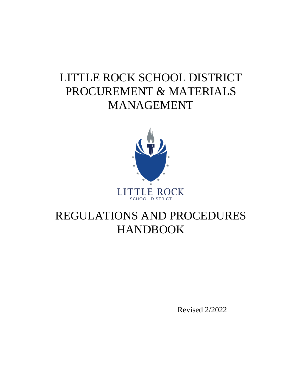# LITTLE ROCK SCHOOL DISTRICT PROCUREMENT & MATERIALS MANAGEMENT



# REGULATIONS AND PROCEDURES HANDBOOK

Revised 2/2022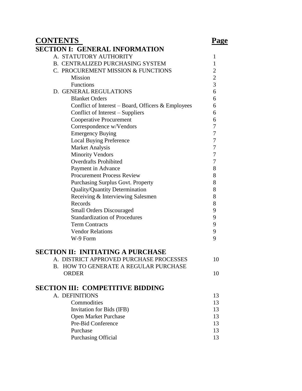# **CONTENTS Page**

| SECTION I: GENERAL INFORMATION                     |                |
|----------------------------------------------------|----------------|
| A. STATUTORY AUTHORITY                             | 1              |
| <b>B. CENTRALIZED PURCHASING SYSTEM</b>            | 1              |
| C. PROCUREMENT MISSION & FUNCTIONS                 | 2              |
| Mission                                            | $\overline{2}$ |
| Functions                                          | 3              |
| D. GENERAL REGULATIONS                             | 6              |
| <b>Blanket Orders</b>                              | 6              |
| Conflict of Interest - Board, Officers & Employees | 6              |
| Conflict of Interest – Suppliers                   | 6              |
| <b>Cooperative Procurement</b>                     | 6              |
| Correspondence w/Vendors                           | 7              |
| <b>Emergency Buying</b>                            | 7              |
| <b>Local Buying Preference</b>                     | 7              |
| <b>Market Analysis</b>                             | 7              |
| <b>Minority Vendors</b>                            | 7              |
| <b>Overdrafts Prohibited</b>                       | 7              |
| Payment in Advance                                 | 8              |
| <b>Procurement Process Review</b>                  | 8              |
| <b>Purchasing Surplus Govt. Property</b>           | 8              |
| <b>Quality/Quantity Determination</b>              | 8              |
| Receiving & Interviewing Salesmen                  | 8              |
| Records                                            | 8              |
| <b>Small Orders Discouraged</b>                    | 9              |
| <b>Standardization of Procedures</b>               | 9              |
| <b>Term Contracts</b>                              | 9              |
| <b>Vendor Relations</b>                            | 9              |
| W-9 Form                                           | 9              |
|                                                    |                |
| <b>SECTION II: INITIATING A PURCHASE</b>           |                |
| A. DISTRICT APPROVED PURCHASE PROCESSES            | 10             |
| B. HOW TO GENERATE A REGULAR PURCHASE              |                |
| <b>ORDER</b>                                       | 10             |
|                                                    |                |
| <b>SECTION III: COMPETITIVE BIDDING</b>            |                |
| A. DEFINITIONS                                     | 13             |
| Commodities                                        | 13             |
| Invitation for Bids (IFB)                          | 13             |
| Open Market Purchase                               | 13             |
| Pre-Bid Conference<br>Purchase                     | 13             |
|                                                    | 13             |
| <b>Purchasing Official</b>                         | 13             |
|                                                    |                |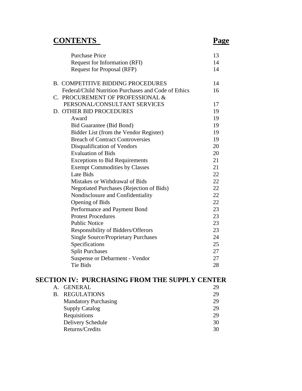# **CONTENTS Page**

| <b>Purchase Price</b>                                | 13 |
|------------------------------------------------------|----|
| Request for Information (RFI)                        | 14 |
| <b>Request for Proposal (RFP)</b>                    | 14 |
| <b>B. COMPETITIVE BIDDING PROCEDURES</b>             | 14 |
| Federal/Child Nutrition Purchases and Code of Ethics | 16 |
| C. PROCUREMENT OF PROFESSIONAL &                     |    |
| PERSONAL/CONSULTANT SERVICES                         | 17 |
| D. OTHER BID PROCEDURES                              | 19 |
| Award                                                | 19 |
| <b>Bid Guarantee (Bid Bond)</b>                      | 19 |
| Bidder List (from the Vendor Register)               | 19 |
| <b>Breach of Contract Controversies</b>              | 19 |
| Disqualification of Vendors                          | 20 |
| <b>Evaluation of Bids</b>                            | 20 |
| <b>Exceptions to Bid Requirements</b>                | 21 |
| <b>Exempt Commodities by Classes</b>                 | 21 |
| Late Bids                                            | 22 |
| Mistakes or Withdrawal of Bids                       | 22 |
| <b>Negotiated Purchases (Rejection of Bids)</b>      | 22 |
| Nondisclosure and Confidentiality                    | 22 |
| <b>Opening of Bids</b>                               | 22 |
| Performance and Payment Bond                         | 23 |
| <b>Protest Procedures</b>                            | 23 |
| <b>Public Notice</b>                                 | 23 |
| Responsibility of Bidders/Offerors                   | 23 |
| <b>Single Source/Proprietary Purchases</b>           | 24 |
| Specifications                                       | 25 |
| <b>Split Purchases</b>                               | 27 |
| Suspense or Debarment - Vendor                       | 27 |
| <b>Tie Bids</b>                                      | 28 |
|                                                      |    |

# **SECTION IV: PURCHASING FROM THE SUPPLY CENTER**

| <b>GENERAL</b>              | 29 |
|-----------------------------|----|
| <b>B. REGULATIONS</b>       | 29 |
| <b>Mandatory Purchasing</b> | 29 |
| <b>Supply Catalog</b>       | 29 |
| Requisitions                | 29 |
| Delivery Schedule           | 30 |
| Returns/Credits             | 30 |
|                             |    |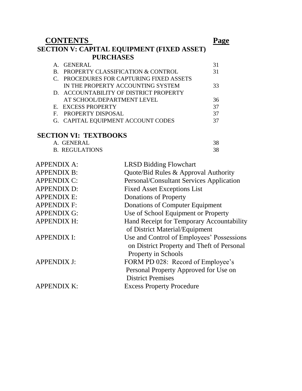| <b>CONTENTS</b>                                   |                                          |    |  |
|---------------------------------------------------|------------------------------------------|----|--|
| <b>SECTION V: CAPITAL EQUIPMENT (FIXED ASSET)</b> |                                          |    |  |
|                                                   | <b>PURCHASES</b>                         |    |  |
| A. GENERAL                                        |                                          | 31 |  |
| B.                                                | PROPERTY CLASSIFICATION & CONTROL        | 31 |  |
|                                                   | C. PROCEDURES FOR CAPTURING FIXED ASSETS |    |  |
|                                                   | IN THE PROPERTY ACCOUNTING SYSTEM        | 33 |  |
|                                                   | D. ACCOUNTABILITY OF DISTRICT PROPERTY   |    |  |
|                                                   | AT SCHOOL/DEPARTMENT LEVEL               | 36 |  |
|                                                   | E. EXCESS PROPERTY                       | 37 |  |
| $\mathbf{F}$                                      | PROPERTY DISPOSAL                        | 37 |  |
|                                                   | G. CAPITAL EQUIPMENT ACCOUNT CODES       | 37 |  |

# **SECTION VI: TEXTBOOKS**

| A. GENERAL            |  |
|-----------------------|--|
| <b>B. REGULATIONS</b> |  |

| <b>APPENDIX A:</b> | <b>LRSD Bidding Flowchart</b>              |
|--------------------|--------------------------------------------|
| <b>APPENDIX B:</b> | Quote/Bid Rules & Approval Authority       |
| <b>APPENDIX C:</b> | Personal/Consultant Services Application   |
| <b>APPENDIX D:</b> | <b>Fixed Asset Exceptions List</b>         |
| <b>APPENDIX E:</b> | <b>Donations of Property</b>               |
| <b>APPENDIX F:</b> | Donations of Computer Equipment            |
| <b>APPENDIX G:</b> | Use of School Equipment or Property        |
| <b>APPENDIX H:</b> | Hand Receipt for Temporary Accountability  |
|                    | of District Material/Equipment             |
| <b>APPENDIX I:</b> | Use and Control of Employees' Possessions  |
|                    | on District Property and Theft of Personal |
|                    | Property in Schools                        |
| <b>APPENDIX J:</b> | FORM PD 028: Record of Employee's          |
|                    | Personal Property Approved for Use on      |
|                    | <b>District Premises</b>                   |
| <b>APPENDIX K:</b> | <b>Excess Property Procedure</b>           |
|                    |                                            |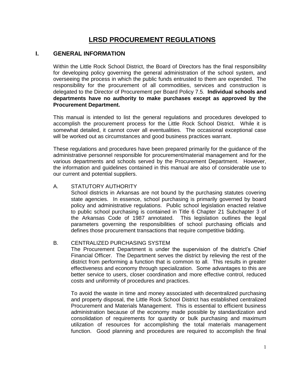# **LRSD PROCUREMENT REGULATIONS**

# **I. GENERAL INFORMATION**

Within the Little Rock School District, the Board of Directors has the final responsibility for developing policy governing the general administration of the school system, and overseeing the process in which the public funds entrusted to them are expended. The responsibility for the procurement of all commodities, services and construction is delegated to the Director of Procurement per Board Policy 7.5. **Individual schools and departments have no authority to make purchases except as approved by the Procurement Department.**

This manual is intended to list the general regulations and procedures developed to accomplish the procurement process for the Little Rock School District. While it is somewhat detailed, it cannot cover all eventualities. The occasional exceptional case will be worked out as circumstances and good business practices warrant.

These regulations and procedures have been prepared primarily for the guidance of the administrative personnel responsible for procurement/material management and for the various departments and schools served by the Procurement Department. However, the information and guidelines contained in this manual are also of considerable use to our current and potential suppliers.

# A. STATUTORY AUTHORITY

School districts in Arkansas are not bound by the purchasing statutes covering state agencies. In essence, school purchasing is primarily governed by board policy and administrative regulations. Public school legislation enacted relative to public school purchasing is contained in Title 6 Chapter 21 Subchapter 3 of the Arkansas Code of 1987 annotated. This legislation outlines the legal parameters governing the responsibilities of school purchasing officials and defines those procurement transactions that require competitive bidding.

# B. CENTRALIZED PURCHASING SYSTEM

The Procurement Department is under the supervision of the district's Chief Financial Officer. The Department serves the district by relieving the rest of the district from performing a function that is common to all. This results in greater effectiveness and economy through specialization. Some advantages to this are better service to users, closer coordination and more effective control, reduced costs and uniformity of procedures and practices.

To avoid the waste in time and money associated with decentralized purchasing and property disposal, the Little Rock School District has established centralized Procurement and Materials Management. This is essential to efficient business administration because of the economy made possible by standardization and consolidation of requirements for quantity or bulk purchasing and maximum utilization of resources for accomplishing the total materials management function. Good planning and procedures are required to accomplish the final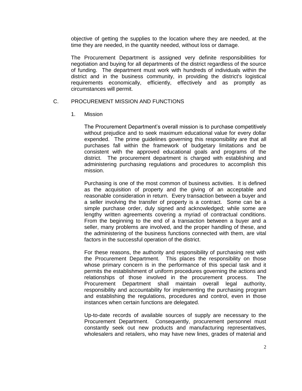objective of getting the supplies to the location where they are needed, at the time they are needed, in the quantity needed, without loss or damage.

The Procurement Department is assigned very definite responsibilities for negotiation and buying for all departments of the district regardless of the source of funding. The department must work with hundreds of individuals within the district and in the business community, in providing the district's logistical requirements economically, efficiently, effectively and as promptly as circumstances will permit.

# C. PROCUREMENT MISSION AND FUNCTIONS

#### 1. Mission

The Procurement Department's overall mission is to purchase competitively without prejudice and to seek maximum educational value for every dollar expended. The prime guidelines governing this responsibility are that all purchases fall within the framework of budgetary limitations and be consistent with the approved educational goals and programs of the district. The procurement department is charged with establishing and administering purchasing regulations and procedures to accomplish this mission.

Purchasing is one of the most common of business activities. It is defined as the acquisition of property and the giving of an acceptable and reasonable consideration in return. Every transaction between a buyer and a seller involving the transfer of property is a contract. Some can be a simple purchase order, duly signed and acknowledged; while some are lengthy written agreements covering a myriad of contractual conditions. From the beginning to the end of a transaction between a buyer and a seller, many problems are involved, and the proper handling of these, and the administering of the business functions connected with them, are vital factors in the successful operation of the district.

For these reasons, the authority and responsibility of purchasing rest with the Procurement Department. This places the responsibility on those whose primary concern is in the performance of this special task and it permits the establishment of uniform procedures governing the actions and relationships of those involved in the procurement process. The Procurement Department shall maintain overall legal authority, responsibility and accountability for implementing the purchasing program and establishing the regulations, procedures and control, even in those instances when certain functions are delegated.

Up-to-date records of available sources of supply are necessary to the Procurement Department. Consequently, procurement personnel must constantly seek out new products and manufacturing representatives, wholesalers and retailers, who may have new lines, grades of material and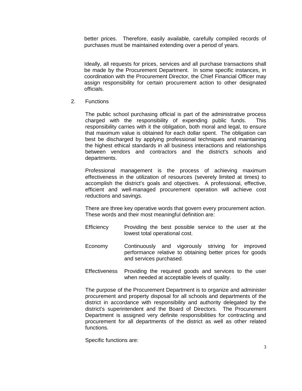better prices. Therefore, easily available, carefully compiled records of purchases must be maintained extending over a period of years.

Ideally, all requests for prices, services and all purchase transactions shall be made by the Procurement Department. In some specific instances, in coordination with the Procurement Director, the Chief Financial Officer may assign responsibility for certain procurement action to other designated officials.

2. Functions

The public school purchasing official is part of the administrative process charged with the responsibility of expending public funds. This responsibility carries with it the obligation, both moral and legal, to ensure that maximum value is obtained for each dollar spent. The obligation can best be discharged by applying professional techniques and maintaining the highest ethical standards in all business interactions and relationships between vendors and contractors and the district's schools and departments.

Professional management is the process of achieving maximum effectiveness in the utilization of resources (severely limited at times) to accomplish the district's goals and objectives. A professional, effective, efficient and well-managed procurement operation will achieve cost reductions and savings.

There are three key operative words that govern every procurement action. These words and their most meaningful definition are:

- Efficiency Providing the best possible service to the user at the lowest total operational cost.
- Economy Continuously and vigorously striving for improved performance relative to obtaining better prices for goods and services purchased.
- Effectiveness Providing the required goods and services to the user when needed at acceptable levels of quality.

The purpose of the Procurement Department is to organize and administer procurement and property disposal for all schools and departments of the district in accordance with responsibility and authority delegated by the district's superintendent and the Board of Directors. The Procurement Department is assigned very definite responsibilities for contracting and procurement for all departments of the district as well as other related functions.

Specific functions are: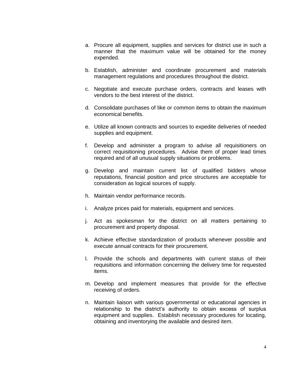- a. Procure all equipment, supplies and services for district use in such a manner that the maximum value will be obtained for the money expended.
- b. Establish, administer and coordinate procurement and materials management regulations and procedures throughout the district.
- c. Negotiate and execute purchase orders, contracts and leases with vendors to the best interest of the district.
- d. Consolidate purchases of like or common items to obtain the maximum economical benefits.
- e. Utilize all known contracts and sources to expedite deliveries of needed supplies and equipment.
- f. Develop and administer a program to advise all requisitioners on correct requisitioning procedures. Advise them of proper lead times required and of all unusual supply situations or problems.
- g. Develop and maintain current list of qualified bidders whose reputations, financial position and price structures are acceptable for consideration as logical sources of supply.
- h. Maintain vendor performance records.
- i. Analyze prices paid for materials, equipment and services.
- j. Act as spokesman for the district on all matters pertaining to procurement and property disposal.
- k. Achieve effective standardization of products whenever possible and execute annual contracts for their procurement.
- l. Provide the schools and departments with current status of their requisitions and information concerning the delivery time for requested items.
- m. Develop and implement measures that provide for the effective receiving of orders.
- n. Maintain liaison with various governmental or educational agencies in relationship to the district's authority to obtain excess of surplus equipment and supplies. Establish necessary procedures for locating, obtaining and inventorying the available and desired item.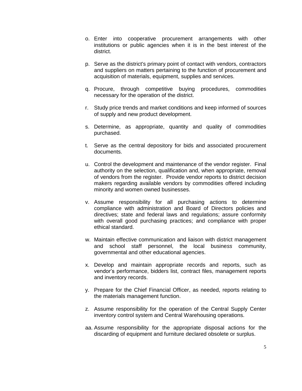- o. Enter into cooperative procurement arrangements with other institutions or public agencies when it is in the best interest of the district.
- p. Serve as the district's primary point of contact with vendors, contractors and suppliers on matters pertaining to the function of procurement and acquisition of materials, equipment, supplies and services.
- q. Procure, through competitive buying procedures, commodities necessary for the operation of the district.
- r. Study price trends and market conditions and keep informed of sources of supply and new product development.
- s. Determine, as appropriate, quantity and quality of commodities purchased.
- t. Serve as the central depository for bids and associated procurement documents.
- u. Control the development and maintenance of the vendor register. Final authority on the selection, qualification and, when appropriate, removal of vendors from the register. Provide vendor reports to district decision makers regarding available vendors by commodities offered including minority and women owned businesses.
- v. Assume responsibility for all purchasing actions to determine compliance with administration and Board of Directors policies and directives; state and federal laws and regulations; assure conformity with overall good purchasing practices; and compliance with proper ethical standard.
- w. Maintain effective communication and liaison with di*s*trict management and school staff personnel, the local busine*ss* community, governmental and other educational agencies.
- x. Develop and maintain appropriate records and reports, such as vendor's performance, bidders list, contract files, management reports and inventory records.
- y. Prepare for the Chief Financial Officer, as needed, reports relating to the materials management function.
- z. Assume responsibility for the operation of the Central Supply Center inventory control system and Central Warehousing operations.
- aa. Assume responsibility for the appropriate disposal actions for the discarding of equipment and furniture declared obsolete or surplus.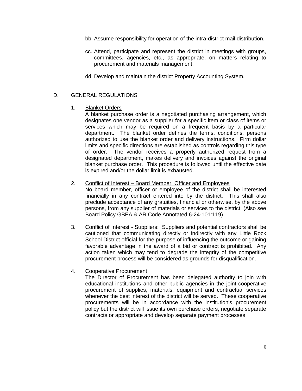- bb. Assume responsibility for operation of the intra-district mail distribution.
- cc. Attend, participate and represent the district in meetings with groups, committees, agencies, etc., as appropriate, on matters relating to procurement and materials management.
- dd. Develop and maintain the district Property Accounting System.

# D. GENERAL REGULATIONS

1. Blanket Orders

A blanket purchase order is a negotiated purchasing arrangement, which designates one vendor as a supplier for a specific item or class of items or services which may be required on a frequent basis by a particular department. The blanket order defines the terms, conditions, persons authorized to use the blanket order and delivery instructions. Firm dollar limits and specific directions are established as controls regarding this type of order. The vendor receives a properly authorized request from a designated department, makes delivery and invoices against the original blanket purchase order. This procedure is followed until the effective date is expired and/or the dollar limit is exhausted.

# 2. Conflict of Interest – Board Member, Officer and Employees

No board member, officer or employee of the district shall be interested financially in any contract entered into by the district. This shall also preclude acceptance of any gratuities, financial or otherwise, by the above persons, from any supplier of materials or services to the district. (Also see Board Policy GBEA & AR Code Annotated 6-24-101:119)

3. Conflict of Interest - Suppliers: Suppliers and potential contractors shall be cautioned that communicating directly or indirectly with any Little Rock School District official for the purpose of influencing the outcome or gaining favorable advantage in the award of a bid or contract is prohibited. Any action taken which may tend to degrade the integrity of the competitive procurement process will be considered as grounds for disqualification.

# 4. Cooperative Procurement

The Director of Procurement has been delegated authority to join with educational institutions and other public agencies in the joint-cooperative procurement of supplies, materials, equipment and contractual services whenever the best interest of the district will be served. These cooperative procurements will be in accordance with the institution's procurement policy but the district will issue its own purchase orders, negotiate separate contracts or appropriate and develop separate payment processes.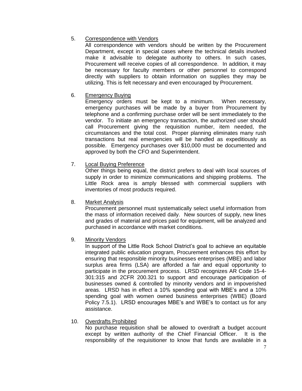# 5. Correspondence with Vendors

All correspondence with vendors should be written by the Procurement Department, except in special cases where the technical details involved make it advisable to delegate authority to others. In such cases, Procurement will receive copies of all correspondence. In addition, it may be necessary for faculty members or other personnel to correspond directly with suppliers to obtain information on supplies they may be utilizing. This is felt necessary and even encouraged by Procurement.

# 6. Emergency Buying

Emergency orders must be kept to a minimum. When necessary, emergency purchases will be made by a buyer from Procurement by telephone and a confirming purchase order will be sent immediately to the vendor. To initiate an emergency transaction, the authorized user should call Procurement giving the requisition number, item needed, the circumstances and the total cost. Proper planning eliminates many rush transactions but real emergencies will be handled as expeditiously as possible. Emergency purchases over \$10,000 must be documented and approved by both the CFO and Superintendent.

# 7. Local Buying Preference

Other things being equal, the district prefers to deal with local sources of supply in order to minimize communications and shipping problems. The Little Rock area is amply blessed with commercial suppliers with inventories of most products required.

# 8. Market Analysis

Procurement personnel must systematically select useful information from the mass of information received daily. New sources of supply, new lines and grades of material and prices paid for equipment, will be analyzed and purchased in accordance with market conditions.

# 9. Minority Vendors

In support of the Little Rock School District's goal to achieve an equitable integrated public education program, Procurement enhances this effort by ensuring that responsible minority businesses enterprises (MBE) and labor surplus area firms (LSA) are afforded a fair and equal opportunity to participate in the procurement process. LRSD recognizes AR Code 15-4- 301:315 and 2CFR 200.321 to support and encourage participation of businesses owned & controlled by minority vendors and in impoverished areas. LRSD has in effect a 10% spending goal with MBE's and a 10% spending goal with women owned business enterprises (WBE) (Board Policy 7.5.1). LRSD encourages MBE's and WBE's to contact us for any assistance.

# 10. Overdrafts Prohibited

No purchase requisition shall be allowed to overdraft a budget account except by written authority of the Chief Financial Officer. It is the responsibility of the requisitioner to know that funds are available in a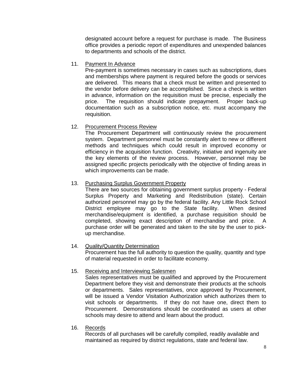designated account before a request for purchase is made. The Business office provides a periodic report of expenditures and unexpended balances to departments and schools of the district.

# 11. Payment In Advance

Pre-payment is sometimes necessary in cases such as subscriptions, dues and memberships where payment is required before the goods or services are delivered. This means that a check must be written and presented to the vendor before delivery can be accomplished. Since a check is written in advance, information on the requisition must be precise, especially the price. The requisition should indicate prepayment. Proper back-up documentation such as a subscription notice, etc. must accompany the requisition.

# 12. Procurement Process Review

The Procurement Department will continuously review the procurement system. Department personnel must be constantly alert to new or different methods and techniques which could result in improved economy or efficiency in the acquisition function. Creativity, initiative and ingenuity are the key elements of the review process. However, personnel may be assigned specific projects periodically with the objective of finding areas in which improvements can be made.

# 13. Purchasing Surplus Government Property

There are two sources for obtaining government surplus property - Federal Surplus Property and Marketing and Redistribution (state). Certain authorized personnel may go by the federal facility. Any Little Rock School District employee may go to the State facility. When desired merchandise/equipment is identified, a purchase requisition should be completed, showing exact description of merchandise and price. A purchase order will be generated and taken to the site by the user to pickup merchandise.

# 14. Quality/Quantity Determination

Procurement has the full authority to question the quality, quantity and type of material requested in order to facilitate economy.

# 15. Receiving and Interviewing Salesmen

Sales representatives must be qualified and approved by the Procurement Department before they visit and demonstrate their products at the schools or departments. Sales representatives, once approved by Procurement, will be issued a Vendor Visitation Authorization which authorizes them to visit schools or departments. If they do not have one, direct them to Procurement. Demonstrations should be coordinated as users at other schools may desire to attend and learn about the product.

# 16. Records

Records of all purchases will be carefully compiled, readily available and maintained as required by district regulations, state and federal law.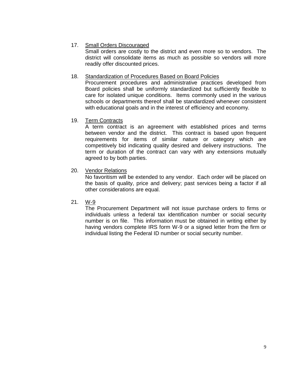# 17. Small Orders Discouraged

Small orders are costly to the district and even more so to vendors. The district will consolidate items as much as possible so vendors will more readily offer discounted prices.

# 18. Standardization of Procedures Based on Board Policies

Procurement procedures and administrative practices developed from Board policies shall be uniformly standardized but sufficiently flexible to care for isolated unique conditions. Items commonly used in the various schools or departments thereof shall be standardized whenever consistent with educational goals and in the interest of efficiency and economy.

# 19. Term Contracts

A term contract is an agreement with established prices and terms between vendor and the district. This contract is based upon frequent requirements for items of similar nature or category which are competitively bid indicating quality desired and delivery instructions. The term or duration of the contract can vary with any extensions mutually agreed to by both parties.

20. Vendor Relations

No favoritism will be extended to any vendor. Each order will be placed on the basis of quality, price and delivery; past services being a factor if all other considerations are equal.

# 21. W-9

The Procurement Department will not issue purchase orders to firms or individuals unless a federal tax identification number or social security number is on file. This information must be obtained in writing either by having vendors complete IRS form W-9 or a signed letter from the firm or individual listing the Federal ID number or social security number.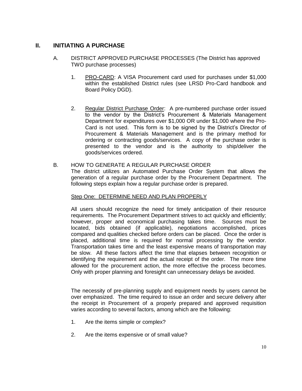# **II. INITIATING A PURCHASE**

- A. DISTRICT APPROVED PURCHASE PROCESSES (The District has approved TWO purchase processes)
	- 1. PRO-CARD: A VISA Procurement card used for purchases under \$1,000 within the established District rules (see LRSD Pro-Card handbook and Board Policy DGD).
	- 2. Regular District Purchase Order: A pre-numbered purchase order issued to the vendor by the District's Procurement & Materials Management Department for expenditures over \$1,000 OR under \$1,000 where the Pro-Card is not used. This form is to be signed by the District's Director of Procurement & Materials Management and is the primary method for ordering or contracting goods/services. A copy of the purchase order is presented to the vendor and is the authority to ship/deliver the goods/services ordered.
- B. HOW TO GENERATE A REGULAR PURCHASE ORDER

The district utilizes an Automated Purchase Order System that allows the generation of a regular purchase order by the Procurement Department. The following steps explain how a regular purchase order is prepared.

# Step One: DETERMINE NEED AND PLAN PROPERLY

All users should recognize the need for timely anticipation of their resource requirements. The Procurement Department strives to act quickly and efficiently; however, proper and economical purchasing takes time. Sources must be located, bids obtained (if applicable), negotiations accomplished, prices compared and qualities checked before orders can be placed. Once the order is placed, additional time is required for normal processing by the vendor. Transportation takes time and the least expensive means of transportation may be slow. All these factors affect the time that elapses between recognition or identifying the requirement and the actual receipt of the order. The more time allowed for the procurement action, the more effective the process becomes. Only with proper planning and foresight can unnecessary delays be avoided.

The necessity of pre-planning supply and equipment needs by users cannot be over emphasized. The time required to issue an order and secure delivery after the receipt in Procurement of a properly prepared and approved requisition varies according to several factors, among which are the following:

- 1. Are the items simple or complex?
- 2. Are the items expensive or of small value?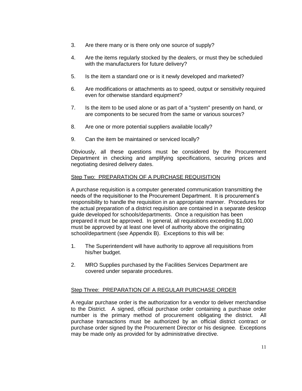- 3. Are there many or is there only one source of supply?
- 4. Are the items regularly stocked by the dealers, or must they be scheduled with the manufacturers for future delivery?
- 5. Is the item a standard one or is it newly developed and marketed?
- 6. Are modifications or attachments as to speed, output or sensitivity required even for otherwise standard equipment?
- 7. Is the item to be used alone or as part of a "system" presently on hand, or are components to be secured from the same or various sources?
- 8. Are one or more potential suppliers available locally?
- 9. Can the item be maintained or serviced locally?

Obviously, all these questions must be considered by the Procurement Department in checking and amplifying specifications, securing prices and negotiating desired delivery dates.

# Step Two: PREPARATION OF A PURCHASE REQUISITION

A purchase requisition is a computer generated communication transmitting the needs of the requisitioner to the Procurement Department. It is procurement's responsibility to handle the requisition in an appropriate manner. Procedures for the actual preparation of a district requisition are contained in a separate desktop guide developed for schools/departments. Once a requisition has been prepared it must be approved. In general, all requisitions exceeding \$1,000 must be approved by at least one level of authority above the originating school/department (see Appendix B). Exceptions to this will be:

- 1. The Superintendent will have authority to approve all requisitions from his/her budget.
- 2. MRO Supplies purchased by the Facilities Services Department are covered under separate procedures.

# Step Three: PREPARATION OF A REGULAR PURCHASE ORDER

A regular purchase order is the authorization for a vendor to deliver merchandise to the District. A signed, official purchase order containing a purchase order number is the primary method of procurement obligating the district. All purchase transactions must be authorized by an official district contract or purchase order signed by the Procurement Director or his designee. Exceptions may be made only as provided for by administrative directive.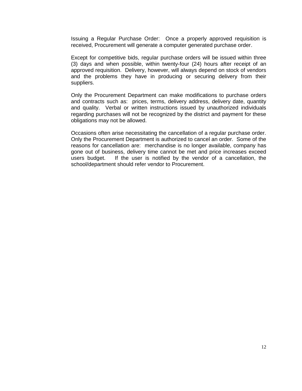Issuing a Regular Purchase Order: Once a properly approved requisition is received, Procurement will generate a computer generated purchase order.

Except for competitive bids, regular purchase orders will be issued within three (3) days and when possible, within twenty-four (24) hours after receipt of an approved requisition. Delivery, however, will always depend on stock of vendors and the problems they have in producing or securing delivery from their suppliers.

Only the Procurement Department can make modifications to purchase orders and contracts such as: prices, terms, delivery address, delivery date, quantity and quality. Verbal or written instructions issued by unauthorized individuals regarding purchases will not be recognized by the district and payment for these obligations may not be allowed.

Occasions often arise necessitating the cancellation of a regular purchase order. Only the Procurement Department is authorized to cancel an order. Some of the reasons for cancellation are: merchandise is no longer available, company has gone out of business, delivery time cannot be met and price increases exceed users budget. If the user is notified by the vendor of a cancellation, the school/department should refer vendor to Procurement.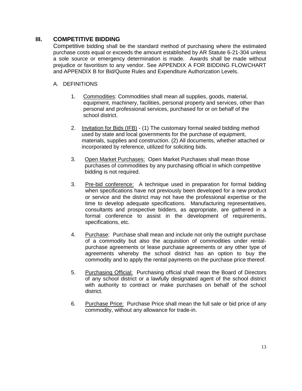# **III. COMPETITIVE BIDDING**

Competitive bidding shall be the standard method of purchasing where the estimated purchase costs equal or exceeds the amount established by AR Statute 6-21-304 unless a sole source or emergency determination is made. Awards shall be made without prejudice or favoritism to any vendor. See APPENDIX A FOR BIDDING FLOWCHART and APPENDIX B for Bid/Quote Rules and Expenditure Authorization Levels.

# A. DEFINITIONS

- 1. Commodities: Commodities shall mean all supplies, goods, material, equipment, machinery, facilities, personal property and services, other than personal and professional services, purchased for or on behalf of the school district.
- 2. Invitation for Bids (IFB) (1) The customary formal sealed bidding method used by state and local governments for the purchase of equipment, materials, supplies and construction. (2) All documents, whether attached or incorporated by reference, utilized for soliciting bids.
- 3. Open Market Purchases: Open Market Purchases shall mean those purchases of commodities by any purchasing official in which competitive bidding is not required.
- 3. Pre-bid conference: A technique used in preparation for formal bidding when specifications have not previously been developed for a new product or service and the district may not have the professional expertise or the time to develop adequate specifications. Manufacturing representatives, consultants and prospective bidders, as appropriate, are gathered in a formal conference to assist in the development of requirements, specifications, etc.
- 4. Purchase: Purchase shall mean and include not only the outright purchase of a commodity but also the acquisition of commodities under rentalpurchase agreements or lease purchase agreements or any other type of agreements whereby the school district has an option to buy the commodity and to apply the rental payments on the purchase price thereof.
- 5. Purchasing Official: Purchasing official shall mean the Board of Directors of any school district or a lawfully designated agent of the school district with authority to contract or make purchases on behalf of the school district.
- 6. Purchase Price: Purchase Price shall mean the full sale or bid price of any commodity, without any allowance for trade-in.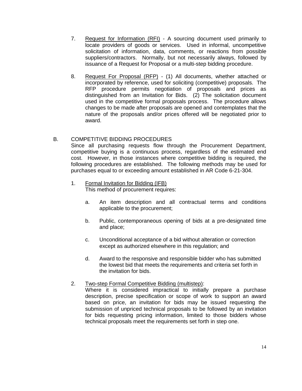- 7. Request for Information (RFI) A sourcing document used primarily to locate providers of goods or services. Used in informal, uncompetitive solicitation of information, data, comments, or reactions from possible suppliers/contractors. Normally, but not necessarily always, followed by issuance of a Request for Proposal or a multi-step bidding procedure.
- 8. Request For Proposal (RFP) (1) All documents, whether attached or incorporated by reference, used for soliciting (competitive) proposals. The RFP procedure permits negotiation of proposals and prices as distinguished from an Invitation for Bids. (2) The solicitation document used in the competitive formal proposals process. The procedure allows changes to be made after proposals are opened and contemplates that the nature of the proposals and/or prices offered will be negotiated prior to award.

# B. COMPETITIVE BIDDING PROCEDURES

Since all purchasing requests flow through the Procurement Department, competitive buying is a continuous process, regardless of the estimated end cost. However, in those instances where competitive bidding is required, the following procedures are established. The following methods may be used for purchases equal to or exceeding amount established in AR Code 6-21-304.

- 1. Formal Invitation for Bidding (IFB) This method of procurement requires:
	- a. An item description and all contractual terms and conditions applicable to the procurement;
	- b. Public, contemporaneous opening of bids at a pre-designated time and place;
	- c. Unconditional acceptance of a bid without alteration or correction except as authorized elsewhere in this regulation; and
	- d. Award to the responsive and responsible bidder who has submitted the lowest bid that meets the requirements and criteria set forth in the invitation for bids.

# 2. Two-step Formal Competitive Bidding (multistep):

Where it is considered impractical to initially prepare a purchase description, precise specification or scope of work to support an award based on price, an invitation for bids may be issued requesting the submission of unpriced technical proposals to be followed by an invitation for bids requesting pricing information, limited to those bidders whose technical proposals meet the requirements set forth in step one.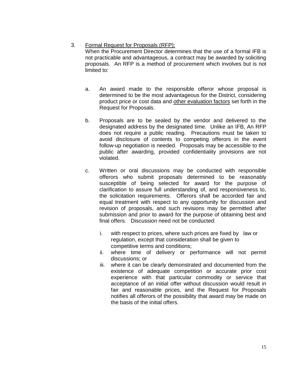# 3. Formal Request for Proposals (RFP):

When the Procurement Director determines that the use of a formal IFB is not practicable and advantageous, a contract may be awarded by soliciting proposals. An RFP is a method of procurement which involves but is not limited to:

- a. An award made to the responsible offeror whose proposal is determined to be the most advantageous for the District, considering product price or cost data and other evaluation factors set forth in the Request for Proposals.
- b. Proposals are to be sealed by the vendor and delivered to the designated address by the designated time. Unlike an IFB, An RFP does not require a public reading. Precautions must be taken to avoid disclosure of contents to competing offerors in the event follow-up negotiation is needed. Proposals may be accessible to the public after awarding, provided confidentiality provisions are not violated.
- c. Written or oral discussions may be conducted with responsible offerors who submit proposals determined to be reasonably susceptible of being selected for award for the purpose of clarification to assure full understanding of, and responsiveness to, the solicitation requirements. Offerors shall be accorded fair and equal treatment with respect to any opportunity for discussion and revision of proposals, and such revisions may be permitted after submission and prior to award for the purpose of obtaining best and final offers. Discussion need not be conducted:
	- i. with respect to prices, where such prices are fixed by law or regulation, except that consideration shall be given to competitive terms and conditions;
	- ii. where time of delivery or performance will not permit discussions; or
	- iii. where it can be clearly demonstrated and documented from the existence of adequate competition or accurate prior cost experience with that particular commodity or service that acceptance of an initial offer without discussion would result in fair and reasonable prices, and the Request for Proposals notifies all offerors of the possibility that award may be made on the basis of the initial offers.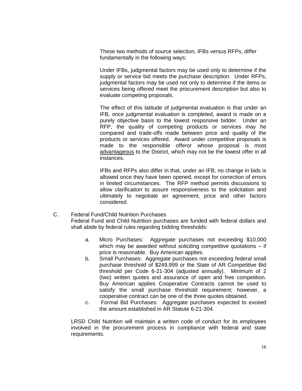These two methods of source selection, IFBs versus RFPs, differ fundamentally in the following ways:

Under IFBs, judgmental factors may be used only to determine if the supply or service bid meets the purchase description. Under RFPs, judgmental factors may be used not only to determine if the items or services being offered meet the procurement description but also to evaluate competing proposals.

The effect of this latitude of judgmental evaluation is that under an IFB, once judgmental evaluation is completed, award is made on a purely objective basis to the lowest responsive bidder. Under an RFP, the quality of competing products or services may he compared and trade-offs made between price and quality of the products or services offered. Award under competitive proposals is made to the responsible offeror whose proposal is most advantageous to the District, which may not be the lowest offer in all instances.

IFBs and RFPs also differ in that, under an IFB, no change in bids is allowed once they have been opened, except for correction of errors in limited circumstances. The RFP method permits discussions to allow clarification to assure responsiveness to the solicitation and ultimately to negotiate an agreement, price and other factors considered.

- C. Federal Fund/Child Nutrition Purchases Federal Fund and Child Nutrition purchases are funded with federal dollars and shall abide by federal rules regarding bidding thresholds:
	- a. Micro Purchases: Aggregate purchases not exceeding \$10,000 which may be awarded without soliciting competitive quotations  $-$  if price is reasonable. Buy American applies.
	- b. Small Purchases: Aggregate purchases not exceeding federal small purchase threshold of \$249,999 or the State of AR Competitive Bid threshold per Code 6-21-304 (adjusted annually). Minimum of 2 (two) written quotes and assurance of open and free competition. Buy American applies Cooperative Contracts cannot be used to satisfy the small purchase threshold requirement; however, a cooperative contract can be one of the three quotes obtained.
	- c. Formal Bid Purchases: Aggregate purchases expected to exceed the amount established in AR Statute 6-21-304.

LRSD Child Nutrition will maintain a written code of conduct for its employees involved in the procurement process in compliance with federal and state requirements.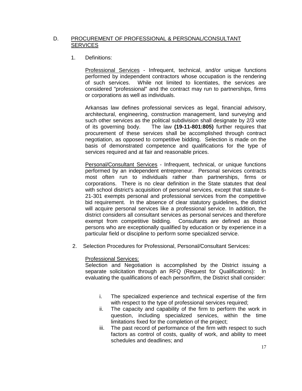# D. PROCUREMENT OF PROFESSIONAL & PERSONAL/CONSULTANT **SERVICES**

1. Definitions:

Professional Services - Infrequent, technical, and/or unique functions performed by independent contractors whose occupation is the rendering of such services. While not limited to licentiates, the services are considered "professional" and the contract may run to partnerships, firms or corporations as well as individuals.

Arkansas law defines professional services as legal, financial advisory, architectural, engineering, construction management, land surveying and such other services as the political subdivision shall designate by 2/3 vote of its governing body. The law **(19-11-801:805)** further requires that procurement of these services shall be accomplished through contract negotiation, as opposed to competitive bidding. Selection is made on the basis of demonstrated competence and qualifications for the type of services required and at fair and reasonable prices.

Personal/Consultant Services - Infrequent, technical, or unique functions performed by an independent entrepreneur. Personal services contracts most often run to individuals rather than partnerships, firms or corporations. There is no clear definition in the State statutes that deal with school district's acquisition of personal services, except that statute 6- 21-301 exempts personal and professional services from the competitive bid requirement. In the absence of clear statutory guidelines, the district will acquire personal services like a professional service. In addition, the district considers all consultant services as personal services and therefore exempt from competitive bidding. Consultants are defined as those persons who are exceptionally qualified by education or by experience in a particular field or discipline to perform some specialized service.

2. Selection Procedures for Professional, Personal/Consultant Services:

# Professional Services:

Selection and Negotiation is accomplished by the District issuing a separate solicitation through an RFQ (Request for Qualifications): In evaluating the qualifications of each person/firm, the District shall consider:

- i. The specialized experience and technical expertise of the firm with respect to the type of professional services required;
- ii. The capacity and capability of the firm to perform the work in question, including specialized services, within the time limitations fixed for the completion of the project;
- iii. The past record of performance of the firm with respect to such factors as control of costs, quality of work, and ability to meet schedules and deadlines; and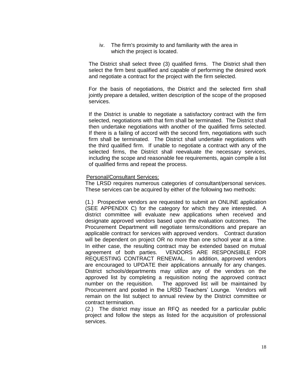iv. The firm's proximity to and familiarity with the area in which the project is located.

The District shall select three (3) qualified firms. The District shall then select the firm best qualified and capable of performing the desired work and negotiate a contract for the project with the firm selected.

For the basis of negotiations, the District and the selected firm shall jointly prepare a detailed, written description of the scope of the proposed services.

If the District is unable to negotiate a satisfactory contract with the firm selected, negotiations with that firm shall be terminated. The District shall then undertake negotiations with another of the qualified firms selected. If there is a failing of accord with the second firm, negotiations with such firm shall be terminated. The District shall undertake negotiations with the third qualified firm. If unable to negotiate a contract with any of the selected firms, the District shall reevaluate the necessary services, including the scope and reasonable fee requirements, again compile a list of qualified firms and repeat the process.

#### Personal/Consultant Services:

The LRSD requires numerous categories of consultant/personal services. These services can be acquired by either of the following two methods:

(1.) Prospective vendors are requested to submit an ONLINE application (SEE APPENDIX C) for the category for which they are interested. A district committee will evaluate new applications when received and designate approved vendors based upon the evaluation outcomes. The Procurement Department will negotiate terms/conditions and prepare an applicable contract for services with approved vendors. Contract duration will be dependent on project OR no more than one school year at a time. In either case, the resulting contract may be extended based on mutual agreement of both parties. VENDORS ARE RESPONSIBLE FOR REQUESTING CONTRACT RENEWAL. In addition, approved vendors are encouraged to UPDATE their applications annually for any changes. District schools/departments may utilize any of the vendors on the approved list by completing a requisition noting the approved contract number on the requisition. The approved list will be maintained by Procurement and posted in the LRSD Teachers' Lounge. Vendors will remain on the list subject to annual review by the District committee or contract termination.

(2.) The district may issue an RFQ as needed for a particular public project and follow the steps as listed for the acquisition of professional services.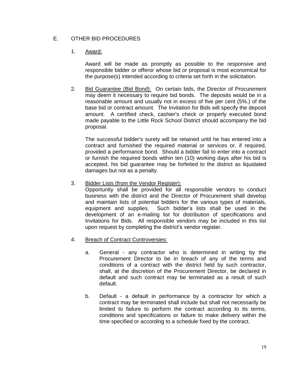# E. OTHER BID PROCEDURES

# 1. Award:

Award will be made as promptly as possible to the responsive and responsible bidder or offeror whose bid or proposal is most economical for the purpose(s) intended according to criteria set forth in the solicitation.

2. Bid Guarantee (Bid Bond): On certain bids, the Director of Procurement may deem it necessary to require bid bonds. The deposits would be in a reasonable amount and usually not in excess of five per cent (5%.) of the base bid or contract amount. The Invitation for Bids will specify the deposit amount. A certified check, cashier's check or properly executed bond made payable to the Little Rock School District should accompany the bid proposal.

The successful bidder's surety will be retained until he has entered into a contract and furnished the required material or services or, if required, provided a performance bond. Should a bidder fail to enter into a contract or furnish the required bonds within ten (10) working days after his bid is accepted, his bid guarantee may be forfeited to the district as liquidated damages but not as a penalty.

3. Bidder Lists (from the Vendor Register):

Opportunity shall be provided for all responsible vendors to conduct business with the district and the Director of Procurement shall develop and maintain lists of potential bidders for the various types of materials, equipment and supplies. Such bidder's lists shall be used in the development of an e-mailing list for distribution of specifications and Invitations for Bids. All responsible vendors may be included in this list upon request by completing the district's vendor register.

- 4. Breach of Contract Controversies:
	- a. General any contractor who is determined in writing by the Procurement Director to be in breach of any of the terms and conditions of a contract with the district held by such contractor, shall, at the discretion of the Procurement Director, be declared in default and such contract may be terminated as a result of such default.
	- b. Default a default in performance by a contractor for which a contract may be terminated shall include but shall not necessarily be limited to failure to perform the contract according to its terms, conditions and specifications or failure to make delivery within the time specified or according to a schedule fixed by the contract.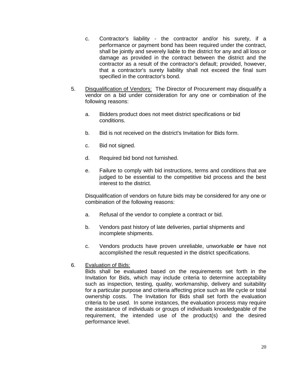- c. Contractor's liability the contractor and/or his surety, if a performance or payment bond has been required under the contract, shall be jointly and severely liable to the district for any and all loss or damage as provided in the contract between the district and the contractor as a result of the contractor's default; provided, however, that a contractor's surety liability shall not exceed the final sum specified in the contractor's bond.
- 5. Disqualification of Vendors: The Director of Procurement may disqualify a vendor on a bid under consideration for any one or combination of the following reasons:
	- a. Bidders product does not meet district specifications or bid conditions.
	- b. Bid is not received on the district's Invitation for Bids form.
	- c. Bid not signed.
	- d. Required bid bond not furnished.
	- e. Failure to comply with bid instructions, terms and conditions that are judged to be essential to the competitive bid process and the best interest to the district.

Disqualification of vendors on future bids may be considered for any one or combination of the following reasons:

- a. Refusal of the vendor to complete a contract or bid.
- b. Vendors past history of late deliveries, partial shipments and incomplete shipments.
- c. Vendors products have proven unreliable, unworkable **or** have not accomplished the result requested in the district specifications.
- 6. Evaluation of Bids:

Bids shall be evaluated based on the requirements set forth in the Invitation for Bids, which may include criteria to determine acceptability such as inspection, testing, quality, workmanship, delivery and suitability for a particular purpose and criteria affecting price such as life cycle or total ownership costs. The Invitation for Bids shall set forth the evaluation criteria to be used. In some instances, the evaluation process may require the assistance of individuals or groups of individuals knowledgeable of the requirement, the intended use of the product(s) and the desired performance level.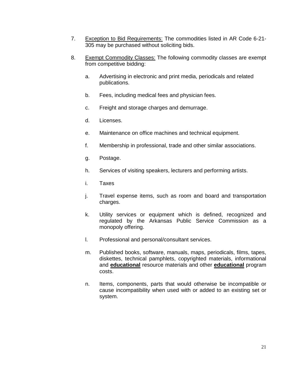- 7. Exception to Bid Requirements: The commodities listed in AR Code 6-21- 305 may be purchased without soliciting bids.
- 8. Exempt Commodity Classes: The following commodity classes are exempt from competitive bidding:
	- a. Advertising in electronic and print media, periodicals and related publications.
	- b. Fees, including medical fees and physician fees.
	- c. Freight and storage charges and demurrage.
	- d. Licenses.
	- e. Maintenance on office machines and technical equipment.
	- f. Membership in professional, trade and other similar associations.
	- g. Postage.
	- h. Services of visiting speakers, lecturers and performing artists.
	- i. Taxes
	- j. Travel expense items, such as room and board and transportation charges.
	- k. Utility services or equipment which is defined, recognized and regulated by the Arkansas Public Service Commission as a monopoly offering.
	- l. Professional and personal/consultant services.
	- m. Published books, software, manuals, maps, periodicals, films, tapes, diskettes, technical pamphlets, copyrighted materials, informational and **educational** resource materials and other **educational** program costs.
	- n. Items, components, parts that would otherwise be incompatible or cause incompatibility when used with or added to an existing set or system.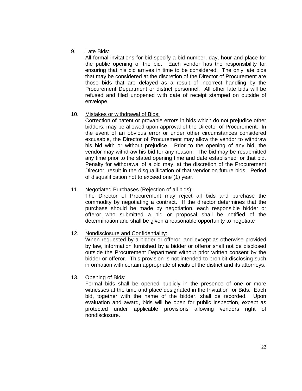9. Late Bids:

All formal invitations for bid specify a bid number, day, hour and place for the public opening of the bid. Each vendor has the responsibility for ensuring that his bid arrives in time to be considered. The only late bids that may be considered at the discretion of the Director of Procurement are those bids that are delayed as a result of incorrect handling by the Procurement Department or district personnel. All other late bids will be refused and filed unopened with date of receipt stamped on outside of envelope.

# 10. Mistakes or withdrawal of Bids:

Correction of patent or provable errors in bids which do not prejudice other bidders, may be allowed upon approval of the Director of Procurement. In the event of an obvious error or under other circumstances considered excusable, the Director of Procurement may allow the vendor to withdraw his bid with or without prejudice. Prior to the opening of any bid, the vendor may withdraw his bid for any reason. The bid may be resubmitted any time prior to the stated opening time and date established for that bid. Penalty for withdrawal of a bid may, at the discretion of the Procurement Director, result in the disqualification of that vendor on future bids. Period of disqualification not to exceed one (1) year.

# 11. Negotiated Purchases (Rejection of all bids):

The Director of Procurement may reject all bids and purchase the commodity by negotiating a contract. If the director determines that the purchase should be made by negotiation, each responsible bidder or offeror who submitted a bid or proposal shall be notified of the determination and shall be given a reasonable opportunity to negotiate

# 12. Nondisclosure and Confidentiality:

When requested by a bidder or offeror, and except as otherwise provided by law, information furnished by a bidder or offeror shall not be disclosed outside the Procurement Department without prior written consent by the bidder or offeror. This provision is not intended to prohibit disclosing such information with certain appropriate officials of the district and its attorneys.

13. Opening of Bids:

Formal bids shall be opened publicly in the presence of one or more witnesses at the time and place designated in the Invitation for Bids. Each bid, together with the name of the bidder, shall be recorded. Upon evaluation and award, bids will be open for public inspection, except as protected under applicable provisions allowing vendors right of nondisclosure.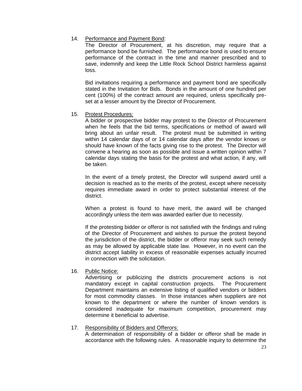# 14. Performance and Payment Bond:

The Director of Procurement, at his discretion, may require that a performance bond be furnished. The performance bond is used to ensure performance of the contract in the time and manner prescribed and to save, indemnify and keep the Little Rock School District harmless against loss.

Bid invitations requiring a performance and payment bond are specifically stated in the Invitation for Bids. Bonds in the amount of one hundred per cent (100%) of the contract amount are required, unless specifically preset at a lesser amount by the Director of Procurement.

# 15. Protest Procedures:

A bidder or prospective bidder may protest to the Director of Procurement when he feels that the bid terms, specifications or method of award will bring about an unfair result. The protest must be submitted in writing within 14 calendar days of or 14 calendar days after the vendor knows or should have known of the facts giving rise to the protest. The Director will convene a hearing as soon as possible and issue a written opinion within 7 calendar days stating the basis for the protest and what action, if any, will be taken.

In the event of a timely protest, the Director will suspend award until a decision is reached as to the merits of the protest, except where necessity requires immediate award in order to protect substantial interest of the district.

When a protest is found to have merit, the award will be changed accordingly unless the item was awarded earlier due to necessity.

If the protesting bidder or offeror is not satisfied with the findings and ruling of the Director of Procurement and wishes to pursue the protest beyond the jurisdiction of the district, the bidder or offeror may seek such remedy as may be allowed by applicable state law. However, in no event can the district accept liability in excess of reasonable expenses actually incurred in connection with the solicitation.

16. Public Notice:

Advertising or publicizing the districts procurement actions is not mandatory except in capital construction projects. The Procurement Department maintains an extensive listing of qualified vendors or bidders for most commodity classes. In those instances when suppliers are not known to the department or where the number of known vendors is considered inadequate for maximum competition, procurement may determine it beneficial to advertise.

# 17. Responsibility of Bidders and Offerors:

A determination of responsibility of a bidder or offeror shall be made in accordance with the following rules. A reasonable inquiry to determine the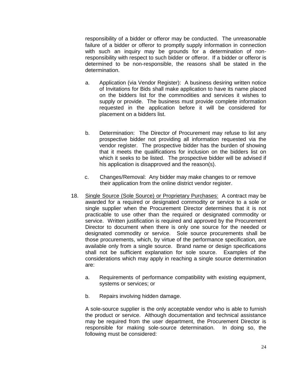responsibility of a bidder or offeror may be conducted. The unreasonable failure of a bidder or offeror to promptly supply information in connection with such an inquiry may be grounds for a determination of nonresponsibility with respect to such bidder or offeror. If a bidder or offeror is determined to be non-responsible, the reasons shall be stated in the determination.

- a. Application (via Vendor Register): A business desiring written notice of Invitations for Bids shall make application to have its name placed on the bidders list for the commodities and services it wishes to supply or provide. The business must provide complete information requested in the application before it will be considered for placement on a bidders list.
- b. Determination: The Director of Procurement may refuse to list any prospective bidder not providing all information requested via the vendor register. The prospective bidder has the burden of showing that it meets the qualifications for inclusion on the bidders list on which it seeks to be listed. The prospective bidder will be advised if his application is disapproved and the reason(s).
- c. Changes/Removal: Any bidder may make changes to or remove their application from the online district vendor register.
- 18. Single Source (Sole Source) or Proprietary Purchases: A contract may be awarded for a required or designated commodity or service to a sole or single supplier when the Procurement Director determines that it is not practicable to use other than the required or designated commodity or service. Written justification is required and approved by the Procurement Director to document when there is only one source for the needed or designated commodity or service. Sole source procurements shall be those procurements, which, by virtue of the performance specification, are available only from a single source. Brand name or design specifications shall not be sufficient explanation for sole source. Examples of the considerations which may apply in reaching a single source determination are:
	- a. Requirements of performance compatibility with existing equipment, systems or services; or
	- b. Repairs involving hidden damage.

A sole-source supplier is the only acceptable vendor who is able to furnish the product or service. Although documentation and technical assistance may be required from the user department, the Procurement Director is responsible for making sole-source determination. In doing so, the following must be considered: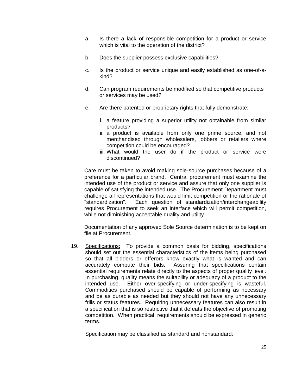- a. Is there a lack of responsible competition for a product or service which is vital to the operation of the district?
- b. Does the supplier possess exclusive capabilities?
- c. Is the product or service unique and easily established as one-of-akind?
- d. Can program requirements be modified so that competitive products or services may be used?
- e. Are there patented or proprietary rights that fully demonstrate:
	- i. a feature providing a superior utility not obtainable from similar products?
	- ii. a product is available from only one prime source, and not merchandised through wholesalers, jobbers or retailers where competition could be encouraged?
	- iii. What would the user do if the product or service were discontinued?

Care must be taken to avoid making sole-source purchases because of a preference for a particular brand. Central procurement must examine the intended use of the product or service and assure that only one supplier is capable of satisfying the intended use. The Procurement Department must challenge all representations that would limit competition or the rationale of "standardization". Each question of standardization/interchangeability requires Procurement to seek an interface which will permit competition, while not diminishing acceptable quality and utility.

Documentation of any approved Sole Source determination is to be kept on file at Procurement.

19. Specifications: To provide a common basis for bidding, specifications should set out the essential characteristics of the items being purchased so that all bidders or offerors know exactly what is wanted and can accurately compute their bids. Assuring that specifications contain essential requirements relate directly to the aspects of proper quality level. In purchasing, quality means the suitability or adequacy of a product to the intended use. Either over-specifying or under-specifying is wasteful. Commodities purchased should be capable of performing as necessary and be as durable as needed but they should not have any unnecessary frills or status features. Requiring unnecessary features can also result in a specification that is so restrictive that it defeats the objective of promoting competition. When practical, requirements should be expressed in generic terms.

Specification may be classified as standard and nonstandard: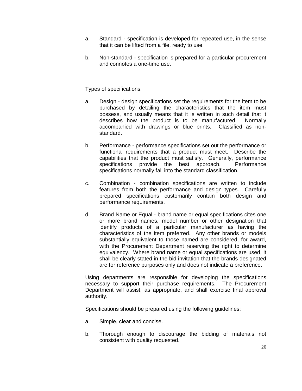- a. Standard specification is developed for repeated use, in the sense that it can be lifted from a file, ready to use.
- b. Non-standard specification is prepared for a particular procurement and connotes a one-time use.

Types of specifications:

- a. Design design specifications set the requirements for the item to be purchased by detailing the characteristics that the item must possess, and usually means that it is written in such detail that it describes how the product is to be manufactured. Normally accompanied with drawings or blue prints. Classified as nonstandard.
- b. Performance performance specifications set out the performance or functional requirements that a product must meet. Describe the capabilities that the product must satisfy. Generally, performance specifications provide the best approach. Performance specifications normally fall into the standard classification.
- c. Combination combination specifications are written to include features from both the performance and design types. Carefully prepared specifications customarily contain both design and performance requirements.
- d. Brand Name or Equal brand name or equal specifications cites one or more brand names, model number or other designation that identify products of a particular manufacturer as having the characteristics of the item preferred. Any other brands or models substantially equivalent to those named are considered, for award, with the Procurement Department reserving the right to determine equivalency. Where brand name or equal specifications are used, it shall be clearly stated in the bid invitation that the brands designated are for reference purposes only and does not indicate a preference.

Using departments are responsible for developing the specifications necessary to support their purchase requirements. The Procurement Department will assist, as appropriate, and shall exercise final approval authority.

Specifications should be prepared using the following guidelines:

- a. Simple, clear and concise.
- b. Thorough enough to discourage the bidding of materials not consistent with quality requested.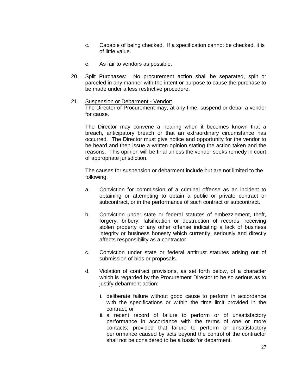- c. Capable of being checked. If a specification cannot be checked, it is of little value.
- e. As fair to vendors as possible.
- 20. Split Purchases: No procurement action shall be separated, split or parceled in any manner with the intent or purpose to cause the purchase to be made under a less restrictive procedure.
- 21. Suspension or Debarment Vendor: The Director of Procurement may, at any time, suspend or debar a vendor for cause.

The Director may convene a hearing when it becomes known that a breach, anticipatory breach or that an extraordinary circumstance has occurred. The Director must give notice and opportunity for the vendor to be heard and then issue a written opinion stating the action taken and the reasons. This opinion will be final unless the vendor seeks remedy in court of appropriate jurisdiction.

The causes for suspension or debarment include but are not limited to the following:

- a. Conviction for commission of a criminal offense as an incident to obtaining or attempting to obtain a public or private contract or subcontract, or in the performance of such contract or subcontract.
- b. Conviction under state or federal statutes of embezzlement, theft, forgery, bribery, falsification or destruction of records, receiving stolen property or any other offense indicating a lack of business integrity or business honesty which currently, seriously and directly affects responsibility as a contractor.
- c. Conviction under state or federal antitrust statutes arising out of submission of bids or proposals.
- d. Violation of contract provisions, as set forth below, of a character which is regarded by the Procurement Director to be so serious as to justify debarment action:
	- i. deliberate failure without good cause to perform in accordance with the specifications or within the time limit provided in the contract; or
	- ii. a recent record of failure to perform or of unsatisfactory performance in accordance with the terms of one or more contacts; provided that failure to perform or unsatisfactory performance caused by acts beyond the control of the contractor shall not be considered to be a basis for debarment.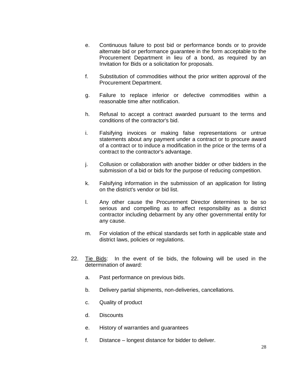- e. Continuous failure to post bid or performance bonds or to provide alternate bid or performance guarantee in the form acceptable to the Procurement Department in lieu of a bond, as required by an Invitation for Bids or a solicitation for proposals.
- f. Substitution of commodities without the prior written approval of the Procurement Department.
- g. Failure to replace inferior or defective commodities within a reasonable time after notification.
- h. Refusal to accept a contract awarded pursuant to the terms and conditions of the contractor's bid.
- i. Falsifying invoices or making false representations or untrue statements about any payment under a contract or to procure award of a contract or to induce a modification in the price or the terms of a contract to the contractor's advantage.
- j. Collusion or collaboration with another bidder or other bidders in the submission of a bid or bids for the purpose of reducing competition.
- k. Falsifying information in the submission of an application for listing on the district's vendor or bid list.
- l. Any other cause the Procurement Director determines to be so serious and compelling as to affect responsibility as a district contractor including debarment by any other governmental entity for any cause.
- m. For violation of the ethical standards set forth in applicable state and district laws, policies or regulations.
- 22. Tie Bids: In the event of tie bids, the following will be used in the determination of award:
	- a. Past performance on previous bids.
	- b. Delivery partial shipments, non-deliveries, cancellations.
	- c. Quality of product
	- d. Discounts
	- e. History of warranties and guarantees
	- f. Distance longest distance for bidder to deliver.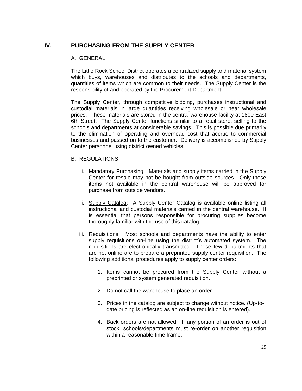# **IV. PURCHASING FROM THE SUPPLY CENTER**

# A. GENERAL

The Little Rock School District operates a centralized supply and material system which buys, warehouses and distributes to the schools and departments, quantities of items which are common to their needs. The Supply Center is the responsibility of and operated by the Procurement Department.

The Supply Center, through competitive bidding, purchases instructional and custodial materials in large quantities receiving wholesale or near wholesale prices. These materials are stored in the central warehouse facility at 1800 East 6th Street. The Supply Center functions similar to a retail store, selling to the schools and departments at considerable savings. This is possible due primarily to the elimination of operating and overhead cost that accrue to commercial businesses and passed on to the customer. Delivery is accomplished by Supply Center personnel using district owned vehicles.

# B. REGULATIONS

- i. Mandatory Purchasing: Materials and supply items carried in the Supply Center for resale may not be bought from outside sources. Only those items not available in the central warehouse will be approved for purchase from outside vendors.
- ii. Supply Catalog: A Supply Center Catalog is available online listing all instructional and custodial materials carried in the central warehouse. It is essential that persons responsible for procuring supplies become thoroughly familiar with the use of this catalog.
- iii. Requisitions: Most schools and departments have the ability to enter supply requisitions on-line using the district's automated system. The requisitions are electronically transmitted. Those few departments that are not online are to prepare a preprinted supply center requisition. The following additional procedures apply to supply center orders:
	- 1. Items cannot be procured from the Supply Center without a preprinted or system generated requisition.
	- 2. Do not call the warehouse to place an order.
	- 3. Prices in the catalog are subject to change without notice. (Up-todate pricing is reflected as an on-line requisition is entered).
	- 4. Back orders are not allowed. If any portion of an order is out of stock, schools/departments must re-order on another requisition within a reasonable time frame.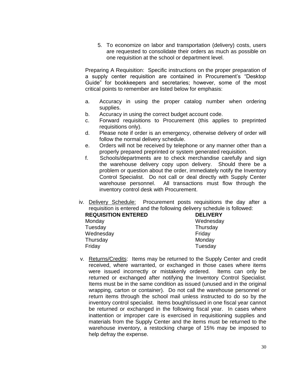5. To economize on labor and transportation (delivery) costs, users are requested to consolidate their orders as much as possible on one requisition at the school or department level.

Preparing A Requisition: Specific instructions on the proper preparation of a supply center requisition are contained in Procurement's "Desktop Guide" for bookkeepers and secretaries; however, some of the most critical points to remember are listed below for emphasis:

- a. Accuracy in using the proper catalog number when ordering supplies.
- b. Accuracy in using the correct budget account code.
- c. Forward requisitions to Procurement (this applies to preprinted requisitions only).
- d. Please note if order is an emergency, otherwise delivery of order will follow the normal delivery schedule.
- e. Orders will not be received by telephone or any manner other than a properly prepared preprinted or system generated requisition.
- f. Schools/departments are to check merchandise carefully and sign the warehouse delivery copy upon delivery. Should there be a problem or question about the order, immediately notify the Inventory Control Specialist. Do not call or deal directly with Supply Center warehouse personnel. All transactions must flow through the inventory control desk with Procurement.
- iv. Delivery Schedule: Procurement posts requisitions the day after a requisition is entered and the following delivery schedule is followed:

| <b>DELIVERY</b> |
|-----------------|
| Wednesday       |
| Thursday        |
| Friday          |
| Monday          |
| Tuesday         |
|                 |

v. Returns/Credits: Items may be returned to the Supply Center and credit received, where warranted, or exchanged in those cases where items were issued incorrectly or mistakenly ordered. Items can only be returned or exchanged after notifying the Inventory Control Specialist. Items must be in the same condition as issued (unused and in the original wrapping, carton or container). Do not call the warehouse personnel or return items through the school mail unless instructed to do so by the inventory control specialist. Items bought/issued in one fiscal year cannot be returned or exchanged in the following fiscal year. In cases where inattention or improper care is exercised in requisitioning supplies and materials from the Supply Center and the items must be returned to the warehouse inventory, a restocking charge of 15% may be imposed to help defray the expense.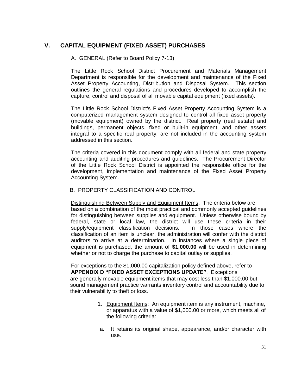# **V. CAPITAL EQUIPMENT (FIXED ASSET) PURCHASES**

# A. GENERAL (Refer to Board Policy 7-13)

The Little Rock School District Procurement and Materials Management Department is responsible for the development and maintenance of the Fixed Asset Property Accounting, Distribution and Disposal System. This section outlines the general regulations and procedures developed to accomplish the capture, control and disposal of all movable capital equipment (fixed assets).

The Little Rock School District's Fixed Asset Property Accounting System is a computerized management system designed to control all fixed asset property (movable equipment) owned by the district. Real property (real estate) and buildings, permanent objects, fixed or built-in equipment, and other assets integral to a specific real property, are not included in the accounting system addressed in this section.

The criteria covered in this document comply with all federal and state property accounting and auditing procedures and guidelines. The Procurement Director of the Little Rock School District is appointed the responsible office for the development, implementation and maintenance of the Fixed Asset Property Accounting System.

# B. PROPERTY CLASSIFICATION AND CONTROL

 Distinguishing Between Supply and Equipment Items: The criteria below are based on a combination of the most practical and commonly accepted guidelines for distinguishing between supplies and equipment. Unless otherwise bound by federal, state or local law, the district will use these criteria in their supply/equipment classification decisions. In those cases where the classification of an item is unclear, the administration will confer with the district auditors to arrive at a determination. In instances where a single piece of equipment is purchased, the amount of **\$1,000.00** will be used in determining whether or not to charge the purchase to capital outlay or supplies.

For exceptions to the \$1,000.00 capitalization policy defined above, refer to **APPENDIX D "FIXED ASSET EXCEPTIONS UPDATE"**. Exceptions are generally movable equipment items that may cost less than \$1,000.00 but sound management practice warrants inventory control and accountability due to their vulnerability to theft or loss.

- 1. Equipment Items: An equipment item is any instrument, machine, or apparatus with a value of \$1,000.00 or more, which meets all of the following criteria:
- a. It retains its original shape, appearance, and/or character with use.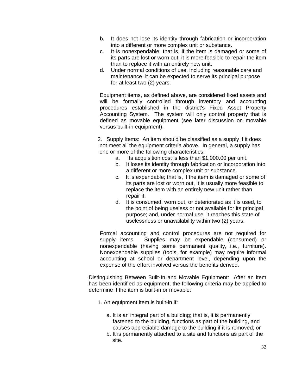- b. It does not lose its identity through fabrication or incorporation into a different or more complex unit or substance.
- c. It is nonexpendable; that is, if the item is damaged or some of its parts are lost or worn out, it is more feasible to repair the item than to replace it with an entirely new unit.
- d. Under normal conditions of use, including reasonable care and maintenance, it can be expected to serve its principal purpose for at least two (2) years.

Equipment items, as defined above, are considered fixed assets and will be formally controlled through inventory and accounting procedures established in the district's Fixed Asset Property Accounting System. The system will only control property that is defined as movable equipment (see later discussion on movable versus built-in equipment).

2. Supply Items: An item should be classified as a supply if it does not meet all the equipment criteria above. In general, a supply has one or more of the following characteristics:

- a. Its acquisition cost is less than \$1,000.00 per unit.
- b. It loses its identity through fabrication or incorporation into a different or more complex unit or substance.
- c. It is expendable; that is, if the item is damaged or some of its parts are lost or worn out, it is usually more feasible to replace the item with an entirely new unit rather than repair it.
- d. It is consumed, worn out, or deteriorated as it is used, to the point of being useless or not available for its principal purpose; and, under normal use, it reaches this state of uselessness or unavailability within two (2) years.

Formal accounting and control procedures are not required for supply items. Supplies may be expendable (consumed) or nonexpendable (having some permanent quality, i.e., furniture). Nonexpendable supplies (tools, for example) may require informal accounting at school or department level, depending upon the expense of the effort involved versus the benefits derived.

Distinguishing Between Built-In and Movable Equipment: After an item has been identified as equipment, the following criteria may be applied to determine if the item is built-in or movable:

- 1. An equipment item is built-in if:
	- a. It is an integral part of a building; that is, it is permanently fastened to the building, functions as part of the building, and causes appreciable damage to the building if it is removed; or
	- b. It is permanently attached to a site and functions as part of the site.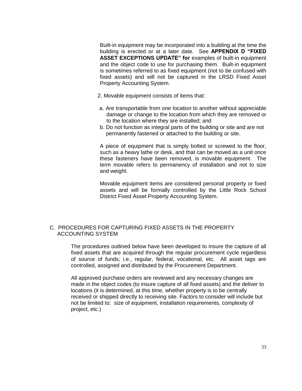Built-in equipment may be incorporated into a building at the time the building is erected or at a later date. See **APPENDIX D "FIXED ASSET EXCEPTIONS UPDATE" for** examples of built-in equipment and the object code to use for purchasing them. Built-in equipment is sometimes referred to as fixed equipment (not to be confused with fixed assets) and will not be captured in the LRSD Fixed Asset Property Accounting System.

- 2. Movable equipment consists of items that:
- a. Are transportable from one location to another without appreciable damage or change to the location from which they are removed or to the location where they are installed; and
- b. Do not function as integral parts of the building or site and are not permanently fastened or attached to the building or site.

A piece of equipment that is simply bolted or screwed to the floor, such as a heavy lathe or desk, and that can be moved as a unit once these fasteners have been removed, is movable equipment. The term movable refers to permanency of installation and not to size and weight.

Movable equipment items are considered personal property or fixed assets and will be formally controlled by the Little Rock School District Fixed Asset Property Accounting System.

# C. PROCEDURES FOR CAPTURING FIXED ASSETS IN THE PROPERTY ACCOUNTING SYSTEM

The procedures outlined below have been developed to insure the capture of all fixed assets that are acquired through the regular procurement cycle regardless of source of funds; i.e., regular, federal, vocational, etc. All asset tags are controlled, assigned and distributed by the Procurement Department.

All approved purchase orders are reviewed and any necessary changes are made in the object codes (to insure capture of all fixed assets) and the deliver to locations (it is determined, at this time, whether property is to be centrally received or shipped directly to receiving site. Factors to consider will include but not be limited to: size of equipment, installation requirements, complexity of project, etc.)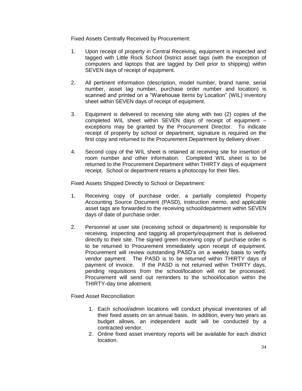Fixed Assets Centrally Received by Procurement:

- 1. Upon receipt of property in Central Receiving, equipment is inspected and tagged with Little Rock School District asset tags (with the exception of computers and laptops that are tagged by Dell prior to shipping) within SEVEN days of receipt of equipment.
- 2. All pertinent information (description, model number, brand name, serial number, asset tag number, purchase order number and location) is scanned and printed on a "Warehouse Items by Location" (WIL) inventory sheet within SEVEN days of receipt of equipment.
- 3. Equipment is delivered to receiving site along with two (2) copies of the completed WIL sheet within SEVEN days of receipt of equipment – exceptions may be granted by the Procurement Director. To indicate receipt of property by school or department, signature is required on the first copy and returned to the Procurement Department by delivery driver.
- 4. Second copy of the WIL sheet is retained at receiving site for insertion of room number and other information. Completed WIL sheet is to be returned to the Procurement Department within THIRTY days of equipment receipt. School or department retains a photocopy for their files.

Fixed Assets Shipped Directly to School or Department:

- 1. Receiving copy of purchase order, a partially completed Property Accounting Source Document (PASD), instruction memo, and applicable asset tags are forwarded to the receiving school/department within SEVEN days of date of purchase order.
- 2. Personnel at user site (receiving school or department) is responsible for receiving, inspecting and tagging all property/equipment that is delivered directly to their site. The signed green receiving copy of purchase order is to be returned to Procurement immediately upon receipt of equipment. Procurement will review outstanding PASD's on a weekly basis to verify vendor payment. The PASD is to be returned within THIRTY days of payment of invoice. If the PASD is not returned within THIRTY days, pending requisitions from the school/location will not be processed. Procurement will send out reminders to the school/location within the THIRTY-day time allotment.

Fixed Asset Reconciliation

- 1. Each school/admin locations will conduct physical inventories of all their fixed assets on an annual basis. In addition, every two years as budget allows, an independent audit will be conducted by a contracted vendor.
- 2. Online fixed asset inventory reports will be available for each district location.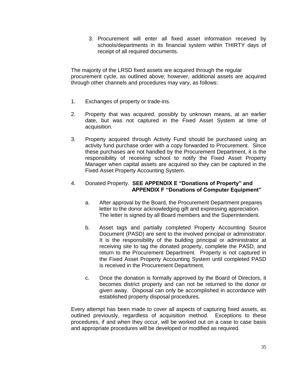3. Procurement will enter all fixed asset information received by schools/departments in its financial system within THIRTY days of receipt of all required documents.

The majority of the LRSD fixed assets are acquired through the regular procurement cycle, as outlined above; however, additional assets are acquired through other channels and procedures may vary, as follows:

- 1. Exchanges of property or trade-ins.
- 2. Property that was acquired, possibly by unknown means, at an earlier date, but was not captured in the Fixed Asset System at time of acquisition.
- 3. Property acquired through Activity Fund should be purchased using an activity fund purchase order with a copy forwarded to Procurement. Since these purchases are not handled by the Procurement Department, it is the responsibility of receiving school to notify the Fixed Asset Property Manager when capital assets are acquired so they can be captured in the Fixed Asset Property Accounting System.

# 4. Donated Property. **SEE APPENDIX E "Donations of Property" and APPENDIX F "Donations of Computer Equipment"**

- a. After approval by the Board, the Procurement Department prepares letter to the donor acknowledging gift and expressing appreciation. The letter is signed by all Board members and the Superintendent.
- b. Asset tags and partially completed Property Accounting Source Document (PASD) are sent to the involved principal or administrator. It is the responsibility of the building principal or administrator at receiving site to tag the donated property, complete the PASD, and return to the Procurement Department. Property is not captured in the Fixed Asset Property Accounting System until completed PASD is received in the Procurement Department.
- c. Once the donation is formally approved by the Board of Directors, it becomes district property and can not be returned to the donor or given away. Disposal can only be accomplished in accordance with established property disposal procedures.

Every attempt has been made to cover all aspects of capturing fixed assets, as outlined previously, regardless of acquisition method. Exceptions to these procedures, if and when they occur, will be worked out on a case to case basis and appropriate procedures will be developed or modified as required.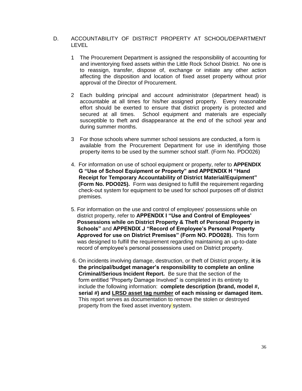# D. ACCOUNTABILITY OF DISTRICT PROPERTY AT SCHOOL/DEPARTMENT LEVEL

- 1 The Procurement Department is assigned the responsibility of accounting for and inventorying fixed assets within the Little Rock School District. No one is to reassign, transfer, dispose of, exchange or initiate any other action affecting the disposition and location of fixed asset property without prior approval of the Director of Procurement.
- 2 Each building principal and account administrator (department head) is accountable at all times for his/her assigned property. Every reasonable effort should be exerted to ensure that district property is protected and secured at all times. School equipment and materials are especially susceptible to theft and disappearance at the end of the school year and during summer months.
- 3 For those schools where summer school sessions are conducted, a form is available from the Procurement Department for use in identifying those property items to be used by the summer school staff. (Form No. PDO026)
- 4. For information on use of school equipment or property, refer to **APPENDIX G "Use of School Equipment or Property" and APPENDIX H "Hand Receipt for Temporary Accountability of District Material/Equipment" (Form No. PDO025).** Form was designed to fulfill the requirement regarding check-out system for equipment to be used for school purposes off of district premises.
- 5. For information on the use and control of employees' possessions while on district property, refer to **APPENDIX I "Use and Control of Employees' Possessions while on District Property & Theft of Personal Property in Schools"** and **APPENDIX J "Record of Employee's Personal Property Approved for use on District Premises" (Form NO. PDO028).** This form was designed to fulfill the requirement regarding maintaining an up-to-date record of employee's personal possessions used on District property.
- 6. On incidents involving damage, destruction, or theft of District property, **it is the principal/budget manager's responsibility to complete an online Criminal/Serious Incident Report.** Be sure that the section of the form entitled "Property Damage Involved" is completed in its entirety to include the following information: **complete description (brand, model #, serial #) and LRSD asset tag number of each missing or damaged item.** This report serves as documentation to remove the stolen or destroyed property from the fixed asset inventory system.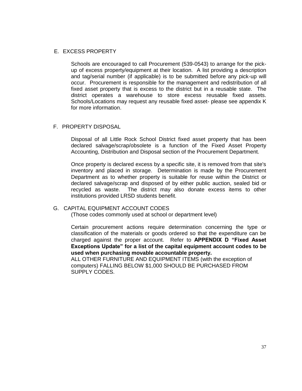# E. EXCESS PROPERTY

Schools are encouraged to call Procurement (539-0543) to arrange for the pickup of excess property/equipment at their location. A list providing a description and tag/serial number (if applicable) is to be submitted before any pick-up will occur. Procurement is responsible for the management and redistribution of all fixed asset property that is excess to the district but in a reusable state. The district operates a warehouse to store excess reusable fixed assets. Schools/Locations may request any reusable fixed asset- please see appendix K for more information.

# F. PROPERTY DISPOSAL

Disposal of all Little Rock School District fixed asset property that has been declared salvage/scrap/obsolete is a function of the Fixed Asset Property Accounting, Distribution and Disposal section of the Procurement Department.

Once property is declared excess by a specific site, it is removed from that site's inventory and placed in storage. Determination is made by the Procurement Department as to whether property is suitable for reuse within the District or declared salvage/scrap and disposed of by either public auction, sealed bid or recycled as waste. The district may also donate excess items to other institutions provided LRSD students benefit.

# G. CAPITAL EQUIPMENT ACCOUNT CODES

(Those codes commonly used at school or department level)

Certain procurement actions require determination concerning the type or classification of the materials or goods ordered so that the expenditure can be charged against the proper account. Refer to **APPENDIX D "Fixed Asset Exceptions Update" for a list of the capital equipment account codes to be used when purchasing movable accountable property.**

ALL OTHER FURNITURE AND EQUIPMENT ITEMS (with the exception of computers) FALLING BELOW \$1,000 SHOULD BE PURCHASED FROM SUPPLY CODES.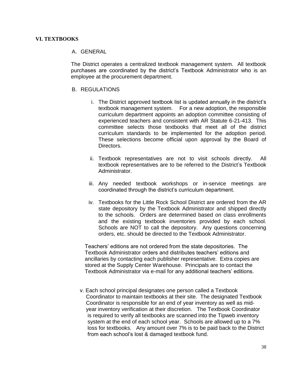#### **VI. TEXTBOOKS**

# A. GENERAL

The District operates a centralized textbook management system. All textbook purchases are coordinated by the district's Textbook Administrator who is an employee at the procurement department.

#### B. REGULATIONS

- i. The District approved textbook list is updated annually in the district's textbook management system. For a new adoption, the responsible curriculum department appoints an adoption committee consisting of experienced teachers and consistent with AR Statute 6-21-413. This committee selects those textbooks that meet all of the district curriculum standards to be implemented for the adoption period. These selections become official upon approval by the Board of Directors.
- ii. Textbook representatives are not to visit schools directly. All textbook representatives are to be referred to the District's Textbook Administrator.
- iii. Any needed textbook workshops or in-service meetings are coordinated through the district's curriculum department.
- iv. Textbooks for the Little Rock School District are ordered from the AR state depository by the Textbook Administrator and shipped directly to the schools. Orders are determined based on class enrollments and the existing textbook inventories provided by each school. Schools are NOT to call the depository. Any questions concerning orders, etc. should be directed to the Textbook Administrator.

 Teachers' editions are not ordered from the state depositories. The Textbook Administrator orders and distributes teachers' editions and ancillaries by contacting each publisher representative. Extra copies are stored at the Supply Center Warehouse. Principals are to contact the Textbook Administrator via e-mail for any additional teachers' editions.

v. Each school principal designates one person called a Textbook Coordinator to maintain textbooks at their site. The designated Textbook Coordinator is responsible for an end of year inventory as well as mid year inventory verification at their discretion. The Textbook Coordinator is required to verify all textbooks are scanned into the Tipweb inventory system at the end of each school year. Schools are allowed up to a 7% loss for textbooks. Any amount over 7% is to be paid back to the District from each school's lost & damaged textbook fund.